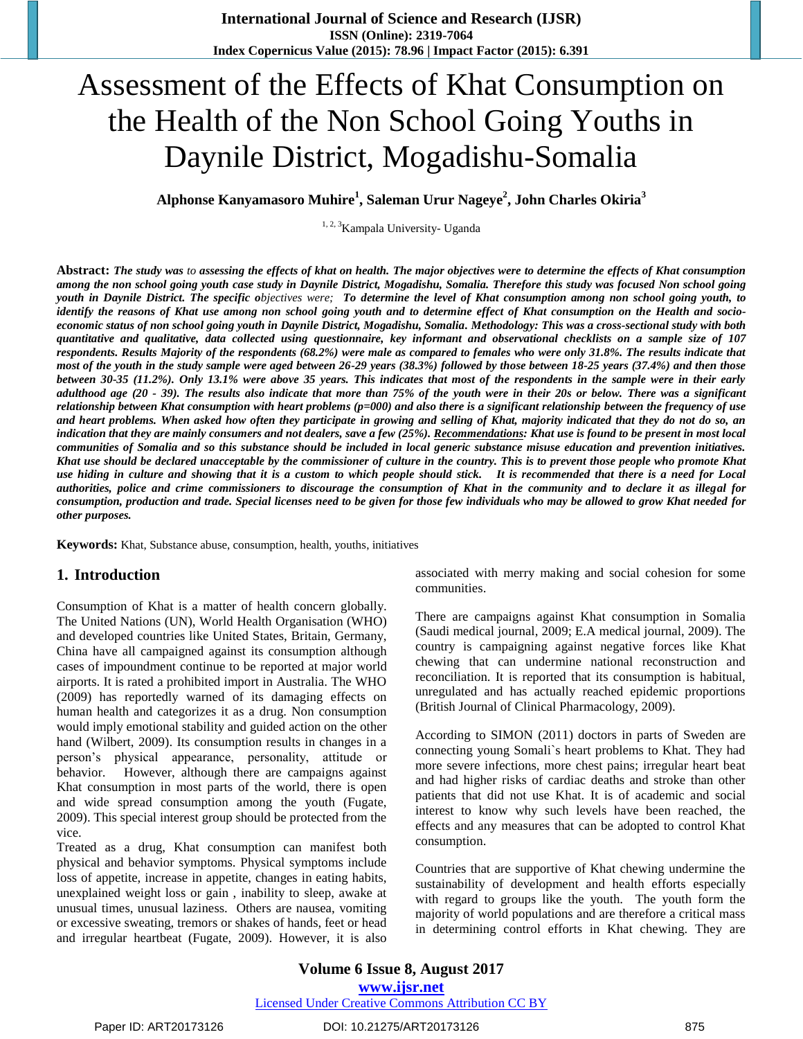# Assessment of the Effects of Khat Consumption on the Health of the Non School Going Youths in Daynile District, Mogadishu-Somalia

**Alphonse Kanyamasoro Muhire<sup>1</sup> , Saleman Urur Nageye<sup>2</sup> , John Charles Okiria<sup>3</sup>**

<sup>1, 2, 3</sup>Kampala University- Uganda

**Abstract:** *The study was to assessing the effects of khat on health. The major objectives were to determine the effects of Khat consumption among the non school going youth case study in Daynile District, Mogadishu, Somalia. Therefore this study was focused Non school going youth in Daynile District. The specific objectives were; To determine the level of Khat consumption among non school going youth, to identify the reasons of Khat use among non school going youth and to determine effect of Khat consumption on the Health and socioeconomic status of non school going youth in Daynile District, Mogadishu, Somalia. Methodology: This was a cross-sectional study with both quantitative and qualitative, data collected using questionnaire, key informant and observational checklists on a sample size of 107 respondents. Results Majority of the respondents (68.2%) were male as compared to females who were only 31.8%. The results indicate that most of the youth in the study sample were aged between 26-29 years (38.3%) followed by those between 18-25 years (37.4%) and then those between 30-35 (11.2%). Only 13.1% were above 35 years. This indicates that most of the respondents in the sample were in their early adulthood age (20 - 39). The results also indicate that more than 75% of the youth were in their 20s or below. There was a significant relationship between Khat consumption with heart problems (p=000) and also there is a significant relationship between the frequency of use and heart problems. When asked how often they participate in growing and selling of Khat, majority indicated that they do not do so, an indication that they are mainly consumers and not dealers, save a few (25%). Recommendations: Khat use is found to be present in most local communities of Somalia and so this substance should be included in local generic substance misuse education and prevention initiatives. Khat use should be declared unacceptable by the commissioner of culture in the country. This is to prevent those people who promote Khat use hiding in culture and showing that it is a custom to which people should stick. It is recommended that there is a need for Local authorities, police and crime commissioners to discourage the consumption of Khat in the community and to declare it as illegal for consumption, production and trade. Special licenses need to be given for those few individuals who may be allowed to grow Khat needed for other purposes.*

**Keywords:** Khat, Substance abuse, consumption, health, youths, initiatives

# **1. Introduction**

Consumption of Khat is a matter of health concern globally. The United Nations (UN), World Health Organisation (WHO) and developed countries like United States, Britain, Germany, China have all campaigned against its consumption although cases of impoundment continue to be reported at major world airports. It is rated a prohibited import in Australia. The WHO (2009) has reportedly warned of its damaging effects on human health and categorizes it as a drug. Non consumption would imply emotional stability and guided action on the other hand (Wilbert, 2009). Its consumption results in changes in a person"s physical appearance, personality, attitude or behavior. However, although there are campaigns against Khat consumption in most parts of the world, there is open and wide spread consumption among the youth (Fugate, 2009). This special interest group should be protected from the vice.

Treated as a drug, Khat consumption can manifest both physical and behavior symptoms. Physical symptoms include loss of appetite, increase in appetite, changes in eating habits, unexplained weight loss or gain , inability to sleep, awake at unusual times, unusual laziness. Others are nausea, vomiting or excessive sweating, tremors or shakes of hands, feet or head and irregular heartbeat (Fugate, 2009). However, it is also

associated with merry making and social cohesion for some communities.

There are campaigns against Khat consumption in Somalia (Saudi medical journal, 2009; E.A medical journal, 2009). The country is campaigning against negative forces like Khat chewing that can undermine national reconstruction and reconciliation. It is reported that its consumption is habitual, unregulated and has actually reached epidemic proportions (British Journal of Clinical Pharmacology, 2009).

According to SIMON (2011) doctors in parts of Sweden are connecting young Somali`s heart problems to Khat. They had more severe infections, more chest pains; irregular heart beat and had higher risks of cardiac deaths and stroke than other patients that did not use Khat. It is of academic and social interest to know why such levels have been reached, the effects and any measures that can be adopted to control Khat consumption.

Countries that are supportive of Khat chewing undermine the sustainability of development and health efforts especially with regard to groups like the youth. The youth form the majority of world populations and are therefore a critical mass in determining control efforts in Khat chewing. They are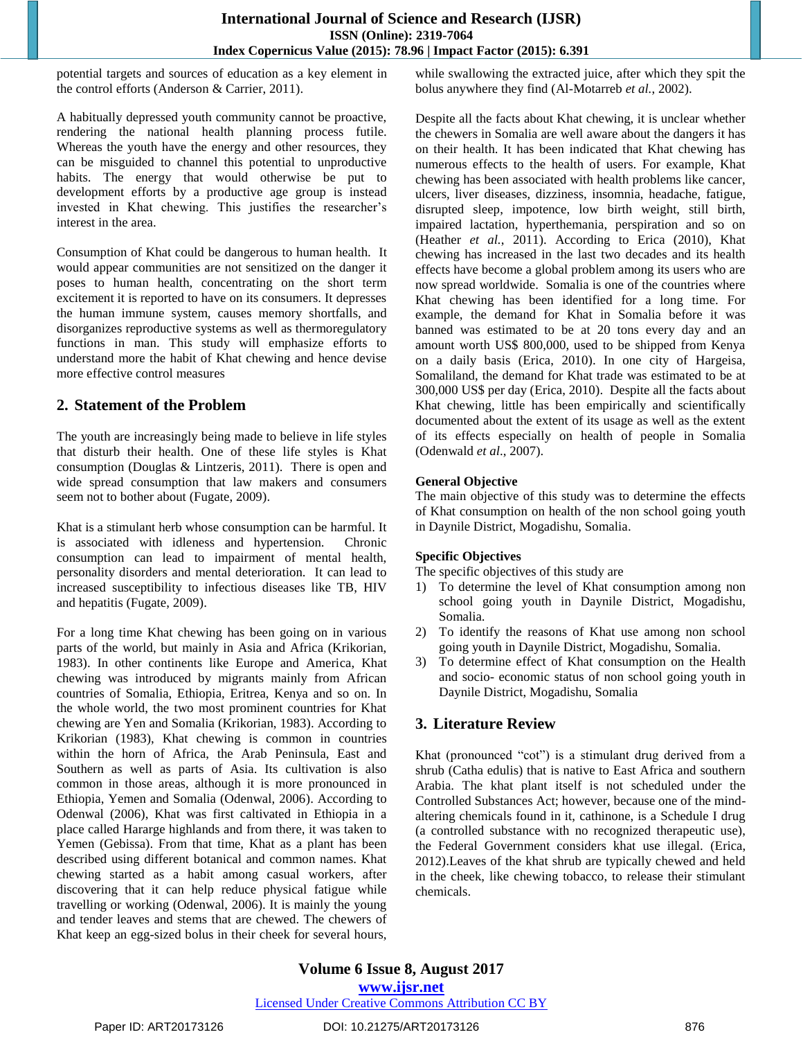potential targets and sources of education as a key element in the control efforts (Anderson & Carrier, 2011).

A habitually depressed youth community cannot be proactive, rendering the national health planning process futile. Whereas the youth have the energy and other resources, they can be misguided to channel this potential to unproductive habits. The energy that would otherwise be put to development efforts by a productive age group is instead invested in Khat chewing. This justifies the researcher"s interest in the area.

Consumption of Khat could be dangerous to human health. It would appear communities are not sensitized on the danger it poses to human health, concentrating on the short term excitement it is reported to have on its consumers. It depresses the human immune system, causes memory shortfalls, and disorganizes reproductive systems as well as thermoregulatory functions in man. This study will emphasize efforts to understand more the habit of Khat chewing and hence devise more effective control measures

# **2. Statement of the Problem**

The youth are increasingly being made to believe in life styles that disturb their health. One of these life styles is Khat consumption (Douglas & Lintzeris, 2011). There is open and wide spread consumption that law makers and consumers seem not to bother about (Fugate, 2009).

Khat is a stimulant herb whose consumption can be harmful. It is associated with idleness and hypertension. Chronic consumption can lead to impairment of mental health, personality disorders and mental deterioration. It can lead to increased susceptibility to infectious diseases like TB, HIV and hepatitis (Fugate, 2009).

For a long time Khat chewing has been going on in various parts of the world, but mainly in Asia and Africa (Krikorian, 1983). In other continents like Europe and America, Khat chewing was introduced by migrants mainly from African countries of Somalia, Ethiopia, Eritrea, Kenya and so on. In the whole world, the two most prominent countries for Khat chewing are Yen and Somalia (Krikorian, 1983). According to Krikorian (1983), Khat chewing is common in countries within the horn of Africa, the Arab Peninsula, East and Southern as well as parts of Asia. Its cultivation is also common in those areas, although it is more pronounced in Ethiopia, Yemen and Somalia (Odenwal, 2006). According to Odenwal (2006), Khat was first caltivated in Ethiopia in a place called Hararge highlands and from there, it was taken to Yemen (Gebissa). From that time, Khat as a plant has been described using different botanical and common names. Khat chewing started as a habit among casual workers, after discovering that it can help reduce physical fatigue while travelling or working (Odenwal, 2006). It is mainly the young and tender leaves and stems that are chewed. The chewers of Khat keep an egg-sized bolus in their cheek for several hours,

while swallowing the extracted juice, after which they spit the bolus anywhere they find (Al-Motarreb *et al.*, 2002).

Despite all the facts about Khat chewing, it is unclear whether the chewers in Somalia are well aware about the dangers it has on their health. It has been indicated that Khat chewing has numerous effects to the health of users. For example, Khat chewing has been associated with health problems like cancer, ulcers, liver diseases, dizziness, insomnia, headache, fatigue, disrupted sleep, impotence, low birth weight, still birth, impaired lactation, hyperthemania, perspiration and so on (Heather *et al.*, 2011). According to Erica (2010), Khat chewing has increased in the last two decades and its health effects have become a global problem among its users who are now spread worldwide. Somalia is one of the countries where Khat chewing has been identified for a long time. For example, the demand for Khat in Somalia before it was banned was estimated to be at 20 tons every day and an amount worth US\$ 800,000, used to be shipped from Kenya on a daily basis (Erica, 2010). In one city of Hargeisa, Somaliland, the demand for Khat trade was estimated to be at 300,000 US\$ per day (Erica, 2010). Despite all the facts about Khat chewing, little has been empirically and scientifically documented about the extent of its usage as well as the extent of its effects especially on health of people in Somalia (Odenwald *et al*., 2007).

# **General Objective**

The main objective of this study was to determine the effects of Khat consumption on health of the non school going youth in Daynile District, Mogadishu, Somalia.

## **Specific Objectives**

The specific objectives of this study are

- 1) To determine the level of Khat consumption among non school going youth in Daynile District, Mogadishu, Somalia.
- 2) To identify the reasons of Khat use among non school going youth in Daynile District, Mogadishu, Somalia.
- 3) To determine effect of Khat consumption on the Health and socio- economic status of non school going youth in Daynile District, Mogadishu, Somalia

# **3. Literature Review**

Khat (pronounced "cot") is a stimulant drug derived from a shrub (Catha edulis) that is native to East Africa and southern Arabia. The khat plant itself is not scheduled under the Controlled Substances Act; however, because one of the mindaltering chemicals found in it, cathinone, is a Schedule I drug (a controlled substance with no recognized therapeutic use), the Federal Government considers khat use illegal. (Erica, 2012).Leaves of the khat shrub are typically chewed and held in the cheek, like chewing tobacco, to release their stimulant chemicals.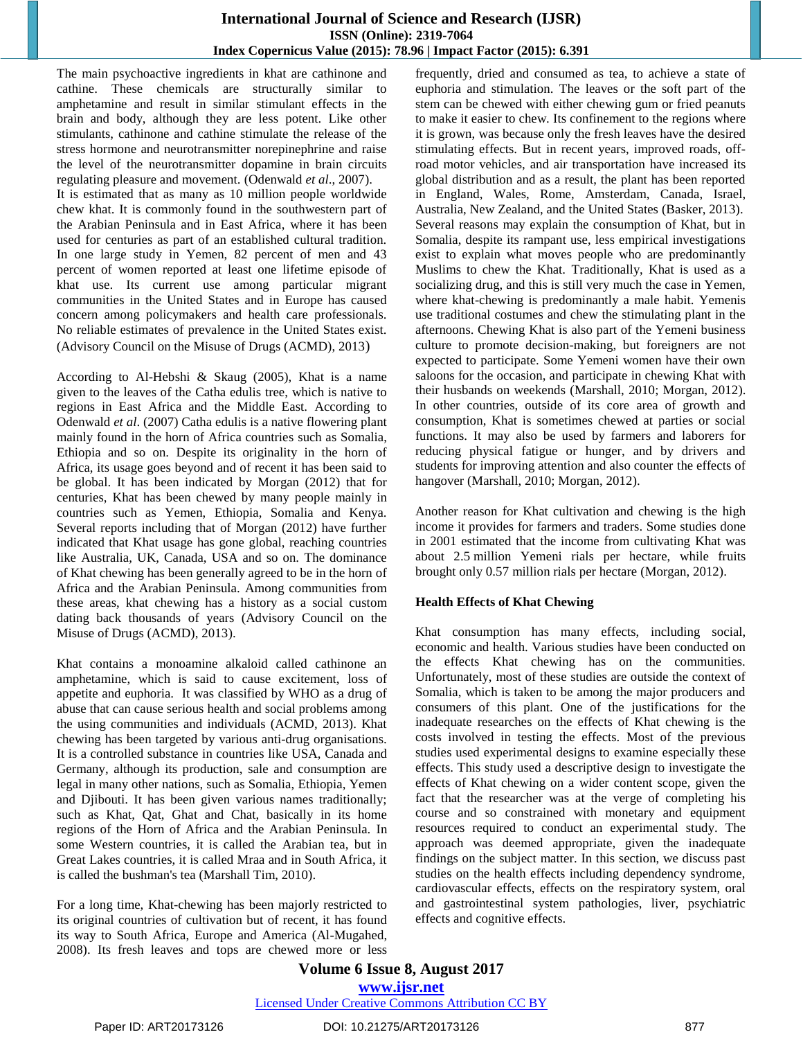The main psychoactive ingredients in khat are cathinone and cathine. These chemicals are structurally similar to amphetamine and result in similar stimulant effects in the brain and body, although they are less potent. Like other stimulants, cathinone and cathine stimulate the release of the stress hormone and neurotransmitter norepinephrine and raise the level of the neurotransmitter dopamine in brain circuits regulating pleasure and movement. (Odenwald *et al*., 2007).

It is estimated that as many as 10 million people worldwide chew khat. It is commonly found in the southwestern part of the Arabian Peninsula and in East Africa, where it has been used for centuries as part of an established cultural tradition. In one large study in Yemen, 82 percent of men and 43 percent of women reported at least one lifetime episode of khat use. Its current use among particular migrant communities in the United States and in Europe has caused concern among policymakers and health care professionals. No reliable estimates of prevalence in the United States exist. (Advisory Council on the Misuse of Drugs (ACMD), 2013)

According to Al-Hebshi & Skaug (2005), Khat is a name given to the leaves of the Catha edulis tree, which is native to regions in East Africa and the Middle East. According to Odenwald *et al*. (2007) Catha edulis is a native flowering plant mainly found in the horn of Africa countries such as Somalia, Ethiopia and so on. Despite its originality in the horn of Africa, its usage goes beyond and of recent it has been said to be global. It has been indicated by Morgan (2012) that for centuries, Khat has been chewed by many people mainly in countries such as Yemen, Ethiopia, Somalia and Kenya. Several reports including that of Morgan (2012) have further indicated that Khat usage has gone global, reaching countries like Australia, UK, Canada, USA and so on. The dominance of Khat chewing has been generally agreed to be in the horn of Africa and the Arabian Peninsula. Among communities from these areas, khat chewing has a history as a social custom dating back thousands of years (Advisory Council on the Misuse of Drugs (ACMD), 2013).

Khat contains a monoamine alkaloid called cathinone an amphetamine, which is said to cause excitement, loss of appetite and euphoria. It was classified by WHO as a drug of abuse that can cause serious health and social problems among the using communities and individuals (ACMD, 2013). Khat chewing has been targeted by various anti-drug organisations. It is a controlled substance in countries like USA, Canada and Germany, although its production, sale and consumption are legal in many other nations, such as Somalia, Ethiopia, Yemen and Djibouti. It has been given various names traditionally; such as Khat, Qat, Ghat and Chat, basically in its home regions of the Horn of Africa and the Arabian Peninsula. In some Western countries, it is called the Arabian tea, but in Great Lakes countries, it is called Mraa and in South Africa, it is called the bushman's tea (Marshall Tim, 2010).

For a long time, Khat-chewing has been majorly restricted to its original countries of cultivation but of recent, it has found its way to South Africa, Europe and America (Al-Mugahed, 2008). Its fresh leaves and tops are chewed more or less frequently, dried and consumed as tea, to achieve a state of euphoria and stimulation. The leaves or the soft part of the stem can be chewed with either chewing gum or fried peanuts to make it easier to chew. Its confinement to the regions where it is grown, was because only the fresh leaves have the desired stimulating effects. But in recent years, improved roads, offroad motor vehicles, and air transportation have increased its global distribution and as a result, the plant has been reported in England, Wales, Rome, [Amsterdam,](http://en.wikipedia.org/wiki/Amsterdam) Canada, Israel, Australia, New Zealand, and the United States (Basker, 2013). Several reasons may explain the consumption of Khat, but in Somalia, despite its rampant use, less empirical investigations exist to explain what moves people who are predominantly Muslims to chew the Khat. Traditionally, Khat is used as a socializing drug, and this is still very much the case in Yemen, where khat-chewing is predominantly a male habit. Yemenis use traditional costumes and chew the stimulating plant in the afternoons. Chewing Khat is also part of the Yemeni business culture to promote decision-making, but foreigners are not expected to participate. Some Yemeni women have their own saloons for the occasion, and participate in chewing Khat with their husbands on weekends (Marshall, 2010; Morgan, 2012). In other countries, outside of its core area of growth and consumption, Khat is sometimes chewed at parties or social functions. It may also be used by farmers and laborers for reducing physical fatigue or hunger, and by drivers and students for improving attention and also counter the effects of hangover (Marshall, 2010; Morgan, 2012).

Another reason for Khat cultivation and chewing is the high income it provides for farmers and traders. Some studies done in 2001 estimated that the income from cultivating Khat was about 2.5 million [Yemeni rials](http://en.wikipedia.org/wiki/Yemeni_rial) per hectare, while fruits brought only 0.57 million rials per hectare (Morgan, 2012).

# **Health Effects of Khat Chewing**

Khat consumption has many effects, including social, economic and health. Various studies have been conducted on the effects Khat chewing has on the communities. Unfortunately, most of these studies are outside the context of Somalia, which is taken to be among the major producers and consumers of this plant. One of the justifications for the inadequate researches on the effects of Khat chewing is the costs involved in testing the effects. Most of the previous studies used experimental designs to examine especially these effects. This study used a descriptive design to investigate the effects of Khat chewing on a wider content scope, given the fact that the researcher was at the verge of completing his course and so constrained with monetary and equipment resources required to conduct an experimental study. The approach was deemed appropriate, given the inadequate findings on the subject matter. In this section, we discuss past studies on the health effects including dependency syndrome, cardiovascular effects, effects on the respiratory system, oral and gastrointestinal system pathologies, liver, psychiatric effects and cognitive effects.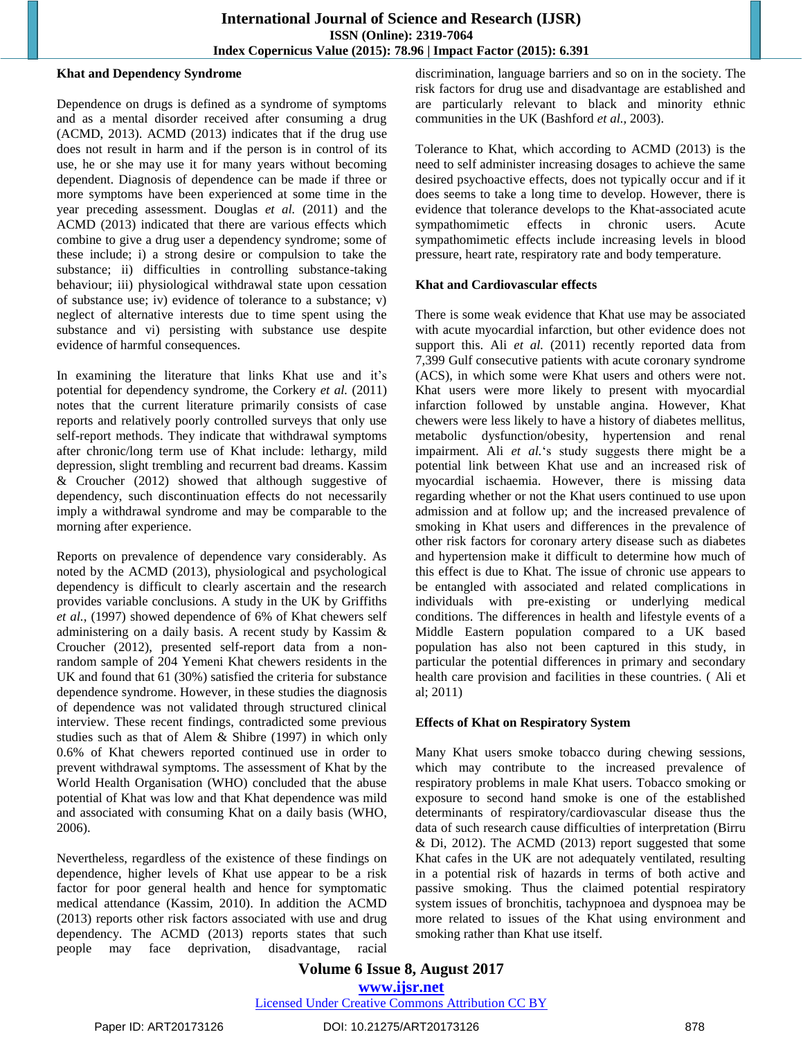#### **Khat and Dependency Syndrome**

Dependence on drugs is defined as a syndrome of symptoms and as a mental disorder received after consuming a drug (ACMD, 2013). ACMD (2013) indicates that if the drug use does not result in harm and if the person is in control of its use, he or she may use it for many years without becoming dependent. Diagnosis of dependence can be made if three or more symptoms have been experienced at some time in the year preceding assessment. Douglas *et al.* (2011) and the ACMD (2013) indicated that there are various effects which combine to give a drug user a dependency syndrome; some of these include; i) a strong desire or compulsion to take the substance; ii) difficulties in controlling substance-taking behaviour; iii) physiological withdrawal state upon cessation of substance use; iv) evidence of tolerance to a substance; v) neglect of alternative interests due to time spent using the substance and vi) persisting with substance use despite evidence of harmful consequences.

In examining the literature that links Khat use and it's potential for dependency syndrome, the Corkery *et al.* (2011) notes that the current literature primarily consists of case reports and relatively poorly controlled surveys that only use self-report methods. They indicate that withdrawal symptoms after chronic/long term use of Khat include: lethargy, mild depression, slight trembling and recurrent bad dreams. Kassim & Croucher (2012) showed that although suggestive of dependency, such discontinuation effects do not necessarily imply a withdrawal syndrome and may be comparable to the morning after experience.

Reports on prevalence of dependence vary considerably. As noted by the ACMD (2013), physiological and psychological dependency is difficult to clearly ascertain and the research provides variable conclusions. A study in the UK by Griffiths *et al.*, (1997) showed dependence of 6% of Khat chewers self administering on a daily basis. A recent study by Kassim & Croucher (2012), presented self-report data from a nonrandom sample of 204 Yemeni Khat chewers residents in the UK and found that 61 (30%) satisfied the criteria for substance dependence syndrome. However, in these studies the diagnosis of dependence was not validated through structured clinical interview. These recent findings, contradicted some previous studies such as that of Alem & Shibre (1997) in which only 0.6% of Khat chewers reported continued use in order to prevent withdrawal symptoms. The assessment of Khat by the World Health Organisation (WHO) concluded that the abuse potential of Khat was low and that Khat dependence was mild and associated with consuming Khat on a daily basis (WHO, 2006).

Nevertheless, regardless of the existence of these findings on dependence, higher levels of Khat use appear to be a risk factor for poor general health and hence for symptomatic medical attendance (Kassim, 2010). In addition the ACMD (2013) reports other risk factors associated with use and drug dependency. The ACMD (2013) reports states that such people may face deprivation, disadvantage, racial

discrimination, language barriers and so on in the society. The risk factors for drug use and disadvantage are established and are particularly relevant to black and minority ethnic communities in the UK (Bashford *et al.,* 2003).

Tolerance to Khat, which according to ACMD (2013) is the need to self administer increasing dosages to achieve the same desired psychoactive effects, does not typically occur and if it does seems to take a long time to develop. However, there is evidence that tolerance develops to the Khat-associated acute sympathomimetic effects in chronic users. Acute sympathomimetic effects include increasing levels in blood pressure, heart rate, respiratory rate and body temperature.

#### **Khat and Cardiovascular effects**

There is some weak evidence that Khat use may be associated with acute myocardial infarction, but other evidence does not support this. Ali *et al.* (2011) recently reported data from 7,399 Gulf consecutive patients with acute coronary syndrome (ACS), in which some were Khat users and others were not. Khat users were more likely to present with myocardial infarction followed by unstable angina. However, Khat chewers were less likely to have a history of diabetes mellitus, metabolic dysfunction/obesity, hypertension and renal impairment. Ali *et al.*"s study suggests there might be a potential link between Khat use and an increased risk of myocardial ischaemia. However, there is missing data regarding whether or not the Khat users continued to use upon admission and at follow up; and the increased prevalence of smoking in Khat users and differences in the prevalence of other risk factors for coronary artery disease such as diabetes and hypertension make it difficult to determine how much of this effect is due to Khat. The issue of chronic use appears to be entangled with associated and related complications in individuals with pre-existing or underlying medical conditions. The differences in health and lifestyle events of a Middle Eastern population compared to a UK based population has also not been captured in this study, in particular the potential differences in primary and secondary health care provision and facilities in these countries. ( Ali et al; 2011)

#### **Effects of Khat on Respiratory System**

Many Khat users smoke tobacco during chewing sessions, which may contribute to the increased prevalence of respiratory problems in male Khat users. Tobacco smoking or exposure to second hand smoke is one of the established determinants of respiratory/cardiovascular disease thus the data of such research cause difficulties of interpretation (Birru & Di, 2012). The ACMD (2013) report suggested that some Khat cafes in the UK are not adequately ventilated, resulting in a potential risk of hazards in terms of both active and passive smoking. Thus the claimed potential respiratory system issues of bronchitis, tachypnoea and dyspnoea may be more related to issues of the Khat using environment and smoking rather than Khat use itself.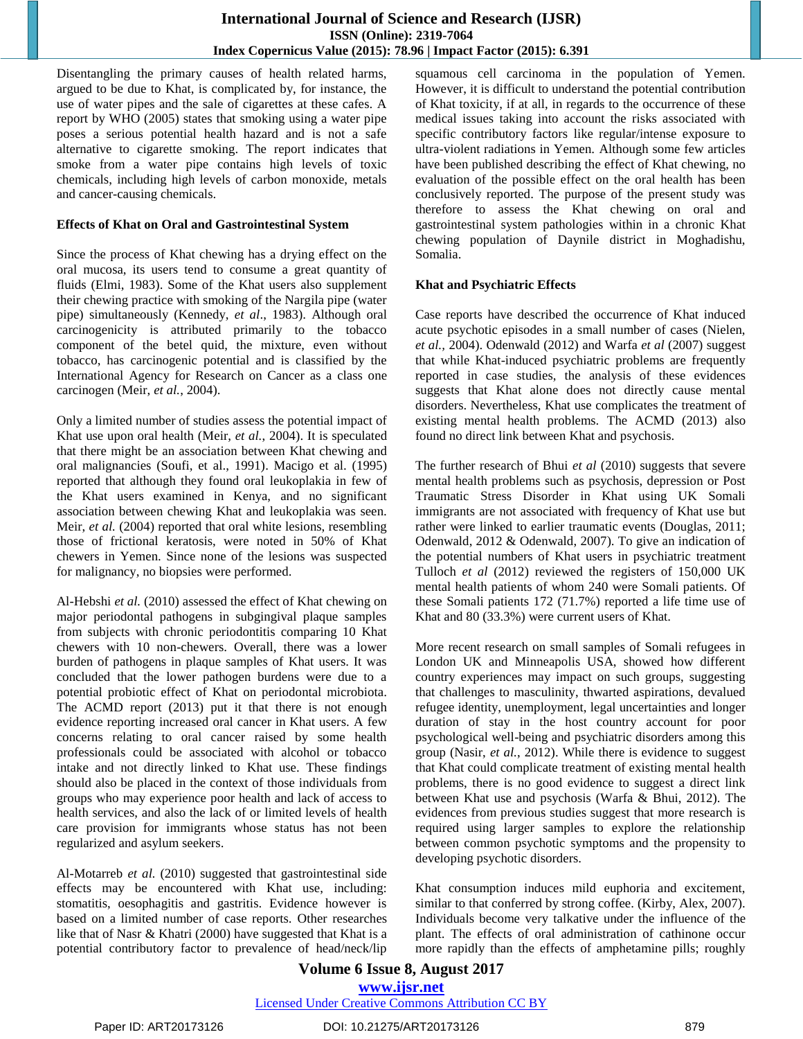Disentangling the primary causes of health related harms, argued to be due to Khat, is complicated by, for instance, the use of water pipes and the sale of cigarettes at these cafes. A report by WHO (2005) states that smoking using a water pipe poses a serious potential health hazard and is not a safe alternative to cigarette smoking. The report indicates that smoke from a water pipe contains high levels of toxic chemicals, including high levels of carbon monoxide, metals and cancer-causing chemicals.

#### **Effects of Khat on Oral and Gastrointestinal System**

Since the process of Khat chewing has a drying effect on the oral mucosa, its users tend to consume a great quantity of fluids (Elmi, 1983). Some of the Khat users also supplement their chewing practice with smoking of the Nargila pipe (water pipe) simultaneously (Kennedy, *et al*., 1983). Although oral carcinogenicity is attributed primarily to the tobacco component of the betel quid, the mixture, even without tobacco, has carcinogenic potential and is classified by the International Agency for Research on Cancer as a class one carcinogen (Meir, *et al.*, 2004).

Only a limited number of studies assess the potential impact of Khat use upon oral health (Meir, *et al.*, 2004). It is speculated that there might be an association between Khat chewing and oral malignancies (Soufi, et al., 1991). Macigo et al. (1995) reported that although they found oral leukoplakia in few of the Khat users examined in Kenya, and no significant association between chewing Khat and leukoplakia was seen. Meir, *et al.* (2004) reported that oral white lesions, resembling those of frictional keratosis, were noted in 50% of Khat chewers in Yemen. Since none of the lesions was suspected for malignancy, no biopsies were performed.

Al-Hebshi *et al.* (2010) assessed the effect of Khat chewing on major periodontal pathogens in subgingival plaque samples from subjects with chronic periodontitis comparing 10 Khat chewers with 10 non-chewers. Overall, there was a lower burden of pathogens in plaque samples of Khat users. It was concluded that the lower pathogen burdens were due to a potential probiotic effect of Khat on periodontal microbiota. The ACMD report (2013) put it that there is not enough evidence reporting increased oral cancer in Khat users. A few concerns relating to oral cancer raised by some health professionals could be associated with alcohol or tobacco intake and not directly linked to Khat use. These findings should also be placed in the context of those individuals from groups who may experience poor health and lack of access to health services, and also the lack of or limited levels of health care provision for immigrants whose status has not been regularized and asylum seekers.

Al-Motarreb *et al.* (2010) suggested that gastrointestinal side effects may be encountered with Khat use, including: stomatitis, oesophagitis and gastritis. Evidence however is based on a limited number of case reports. Other researches like that of Nasr & Khatri (2000) have suggested that Khat is a potential contributory factor to prevalence of head/neck/lip squamous cell carcinoma in the population of Yemen. However, it is difficult to understand the potential contribution of Khat toxicity, if at all, in regards to the occurrence of these medical issues taking into account the risks associated with specific contributory factors like regular/intense exposure to ultra-violent radiations in Yemen. Although some few articles have been published describing the effect of Khat chewing, no evaluation of the possible effect on the oral health has been conclusively reported. The purpose of the present study was therefore to assess the Khat chewing on oral and gastrointestinal system pathologies within in a chronic Khat chewing population of Daynile district in Moghadishu, Somalia.

## **Khat and Psychiatric Effects**

Case reports have described the occurrence of Khat induced acute psychotic episodes in a small number of cases (Nielen, *et al.,* 2004). Odenwald (2012) and Warfa *et al* (2007) suggest that while Khat-induced psychiatric problems are frequently reported in case studies, the analysis of these evidences suggests that Khat alone does not directly cause mental disorders. Nevertheless, Khat use complicates the treatment of existing mental health problems. The ACMD (2013) also found no direct link between Khat and psychosis.

The further research of Bhui *et al* (2010) suggests that severe mental health problems such as psychosis, depression or Post Traumatic Stress Disorder in Khat using UK Somali immigrants are not associated with frequency of Khat use but rather were linked to earlier traumatic events (Douglas, 2011; Odenwald, 2012 & Odenwald, 2007). To give an indication of the potential numbers of Khat users in psychiatric treatment Tulloch *et al* (2012) reviewed the registers of 150,000 UK mental health patients of whom 240 were Somali patients. Of these Somali patients 172 (71.7%) reported a life time use of Khat and 80 (33.3%) were current users of Khat.

More recent research on small samples of Somali refugees in London UK and Minneapolis USA, showed how different country experiences may impact on such groups, suggesting that challenges to masculinity, thwarted aspirations, devalued refugee identity, unemployment, legal uncertainties and longer duration of stay in the host country account for poor psychological well-being and psychiatric disorders among this group (Nasir, *et al.*, 2012). While there is evidence to suggest that Khat could complicate treatment of existing mental health problems, there is no good evidence to suggest a direct link between Khat use and psychosis (Warfa & Bhui, 2012). The evidences from previous studies suggest that more research is required using larger samples to explore the relationship between common psychotic symptoms and the propensity to developing psychotic disorders.

Khat consumption induces mild euphoria and excitement, similar to that conferred by strong coffee. (Kirby, Alex, 2007). Individuals become very talkative under the influence of the plant. The effects of oral administration of cathinone occur more rapidly than the effects of amphetamine pills; roughly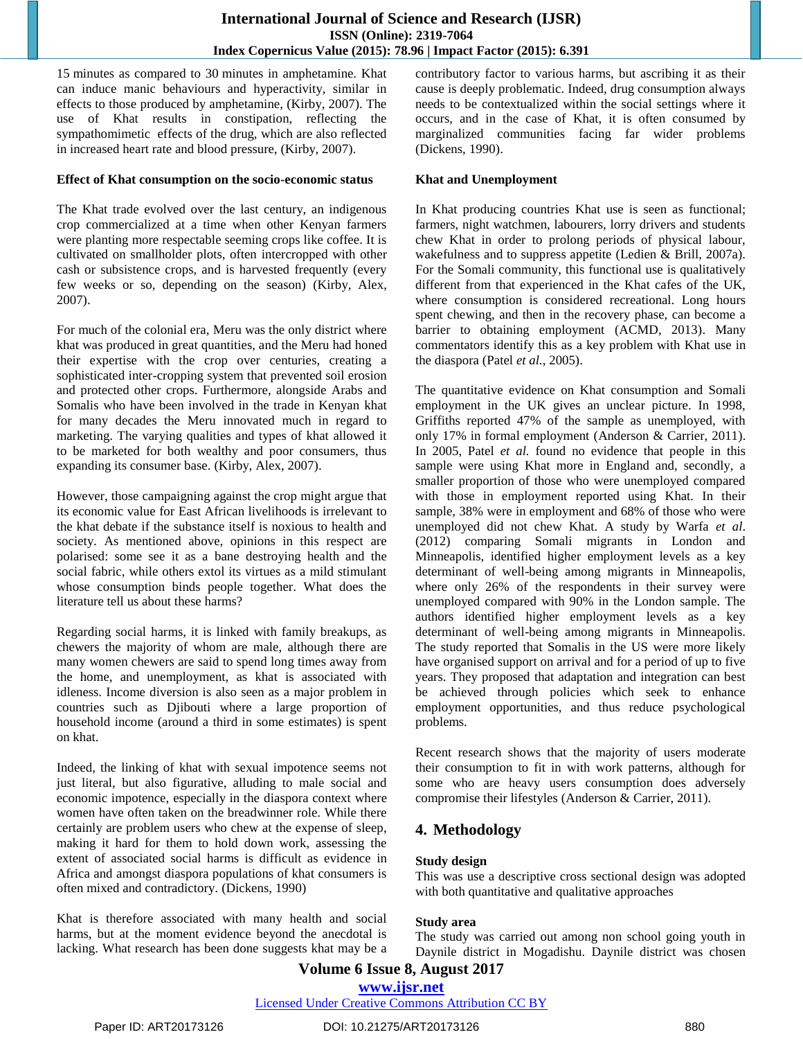15 minutes as compared to 30 minutes in amphetamine. Khat can induce manic behaviours and hyperactivity, similar in effects to those produced by amphetamine, (Kirby, 2007). The use of Khat results in constipation, reflecting the sympathomimetic effects of the drug, which are also reflected in increased heart rate and blood pressure, (Kirby, 2007).

#### **Effect of Khat consumption on the socio-economic status**

The Khat trade evolved over the last century, an indigenous crop commercialized at a time when other Kenyan farmers were planting more respectable seeming crops like coffee. It is cultivated on smallholder plots, often intercropped with other cash or subsistence crops, and is harvested frequently (every few weeks or so, depending on the season) (Kirby, Alex, 2007).

For much of the colonial era, Meru was the only district where khat was produced in great quantities, and the Meru had honed their expertise with the crop over centuries, creating a sophisticated inter-cropping system that prevented soil erosion and protected other crops. Furthermore, alongside Arabs and Somalis who have been involved in the trade in Kenyan khat for many decades the Meru innovated much in regard to marketing. The varying qualities and types of khat allowed it to be marketed for both wealthy and poor consumers, thus expanding its consumer base. (Kirby, Alex, 2007).

However, those campaigning against the crop might argue that its economic value for East African livelihoods is irrelevant to the khat debate if the substance itself is noxious to health and society. As mentioned above, opinions in this respect are polarised: some see it as a bane destroying health and the social fabric, while others extol its virtues as a mild stimulant whose consumption binds people together. What does the literature tell us about these harms?

Regarding social harms, it is linked with family breakups, as chewers the majority of whom are male, although there are many women chewers are said to spend long times away from the home, and unemployment, as khat is associated with idleness. Income diversion is also seen as a major problem in countries such as Djibouti where a large proportion of household income (around a third in some estimates) is spent on khat.

Indeed, the linking of khat with sexual impotence seems not just literal, but also figurative, alluding to male social and economic impotence, especially in the diaspora context where women have often taken on the breadwinner role. While there certainly are problem users who chew at the expense of sleep, making it hard for them to hold down work, assessing the extent of associated social harms is difficult as evidence in Africa and amongst diaspora populations of khat consumers is often mixed and contradictory. (Dickens, 1990)

Khat is therefore associated with many health and social harms, but at the moment evidence beyond the anecdotal is lacking. What research has been done suggests khat may be a contributory factor to various harms, but ascribing it as their cause is deeply problematic. Indeed, drug consumption always needs to be contextualized within the social settings where it occurs, and in the case of Khat, it is often consumed by marginalized communities facing far wider problems (Dickens, 1990).

## **Khat and Unemployment**

In Khat producing countries Khat use is seen as functional; farmers, night watchmen, labourers, lorry drivers and students chew Khat in order to prolong periods of physical labour, wakefulness and to suppress appetite (Ledien & Brill, 2007a). For the Somali community, this functional use is qualitatively different from that experienced in the Khat cafes of the UK, where consumption is considered recreational. Long hours spent chewing, and then in the recovery phase, can become a barrier to obtaining employment (ACMD, 2013). Many commentators identify this as a key problem with Khat use in the diaspora (Patel *et al.*, 2005).

The quantitative evidence on Khat consumption and Somali employment in the UK gives an unclear picture. In 1998, Griffiths reported 47% of the sample as unemployed, with only 17% in formal employment (Anderson & Carrier, 2011). In 2005, Patel *et al.* found no evidence that people in this sample were using Khat more in England and, secondly, a smaller proportion of those who were unemployed compared with those in employment reported using Khat. In their sample, 38% were in employment and 68% of those who were unemployed did not chew Khat. A study by Warfa *et al*. (2012) comparing Somali migrants in London and Minneapolis, identified higher employment levels as a key determinant of well-being among migrants in Minneapolis, where only 26% of the respondents in their survey were unemployed compared with 90% in the London sample. The authors identified higher employment levels as a key determinant of well-being among migrants in Minneapolis. The study reported that Somalis in the US were more likely have organised support on arrival and for a period of up to five years. They proposed that adaptation and integration can best be achieved through policies which seek to enhance employment opportunities, and thus reduce psychological problems.

Recent research shows that the majority of users moderate their consumption to fit in with work patterns, although for some who are heavy users consumption does adversely compromise their lifestyles (Anderson & Carrier, 2011).

# **4. Methodology**

## **Study design**

This was use a descriptive cross sectional design was adopted with both quantitative and qualitative approaches

## **Study area**

The study was carried out among non school going youth in Daynile district in Mogadishu. Daynile district was chosen

# **Volume 6 Issue 8, August 2017 <www.ijsr.net>** [Licensed Under Creative Commons Attribution CC BY](http://creativecommons.org/licenses/by/4.0/)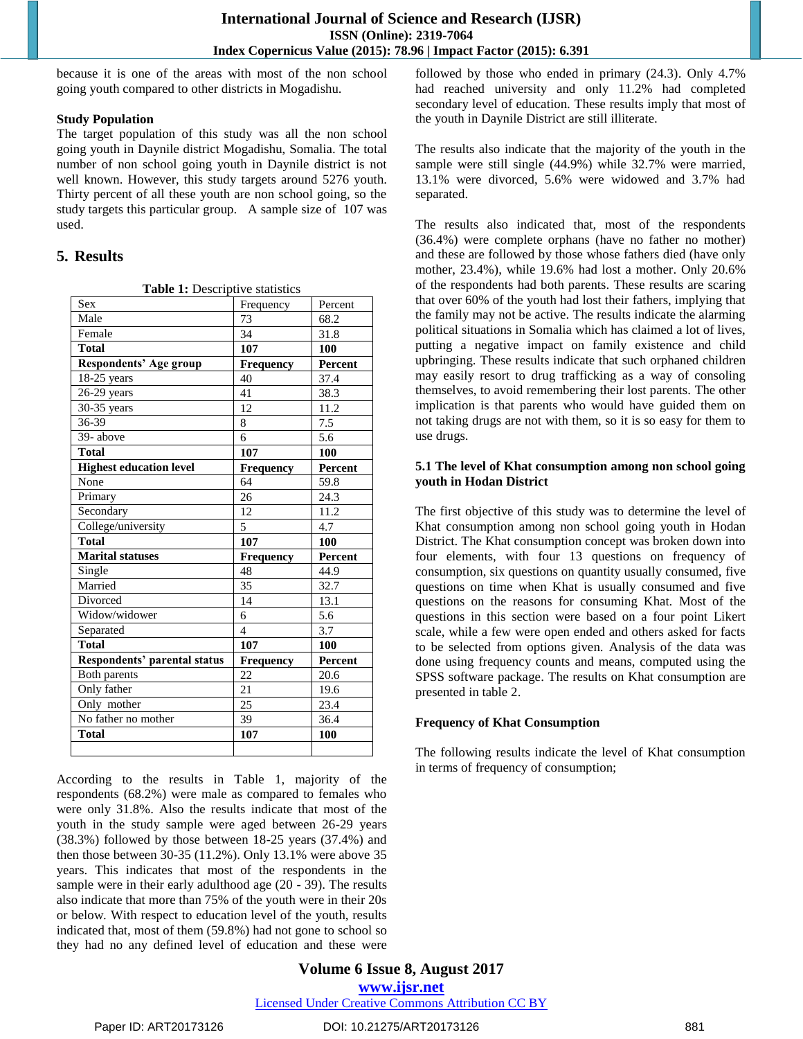because it is one of the areas with most of the non school going youth compared to other districts in Mogadishu.

### **Study Population**

The target population of this study was all the non school going youth in Daynile district Mogadishu, Somalia. The total number of non school going youth in Daynile district is not well known. However, this study targets around 5276 youth. Thirty percent of all these youth are non school going, so the study targets this particular group. A sample size of 107 was used.

# **5. Results**

| Table 1: Descriptive statistics     |                          |         |  |  |  |  |  |
|-------------------------------------|--------------------------|---------|--|--|--|--|--|
| Sex                                 | Frequency                | Percent |  |  |  |  |  |
| Male                                | 73                       | 68.2    |  |  |  |  |  |
| Female                              | 34                       | 31.8    |  |  |  |  |  |
| <b>Total</b>                        | 107                      | 100     |  |  |  |  |  |
| Respondents' Age group              | <b>Frequency</b>         | Percent |  |  |  |  |  |
| 18-25 years                         | 40                       | 37.4    |  |  |  |  |  |
| 26-29 years                         | 41                       | 38.3    |  |  |  |  |  |
| 30-35 years                         | 12                       | 11.2    |  |  |  |  |  |
| 36-39                               | 8                        | 7.5     |  |  |  |  |  |
| 39- above                           | 6                        | 5.6     |  |  |  |  |  |
| <b>Total</b>                        | 107                      | 100     |  |  |  |  |  |
| <b>Highest education level</b>      | Frequency                | Percent |  |  |  |  |  |
| None                                | 64                       | 59.8    |  |  |  |  |  |
| Primary                             | 26                       | 24.3    |  |  |  |  |  |
| Secondary                           | 12                       | 11.2    |  |  |  |  |  |
| College/university                  | 5                        | 4.7     |  |  |  |  |  |
| <b>Total</b>                        | 107                      | 100     |  |  |  |  |  |
| <b>Marital statuses</b>             | <b>Frequency</b>         | Percent |  |  |  |  |  |
| Single                              | 48                       | 44.9    |  |  |  |  |  |
| Married                             | 35                       | 32.7    |  |  |  |  |  |
| Divorced                            | 14                       | 13.1    |  |  |  |  |  |
| Widow/widower                       | 6                        | 5.6     |  |  |  |  |  |
| Separated                           | $\overline{\mathcal{L}}$ | 3.7     |  |  |  |  |  |
| <b>Total</b>                        | 107                      | 100     |  |  |  |  |  |
| <b>Respondents' parental status</b> | Frequency                | Percent |  |  |  |  |  |
| Both parents                        | 22                       | 20.6    |  |  |  |  |  |
| Only father                         | 21                       | 19.6    |  |  |  |  |  |
| Only mother                         | 25                       | 23.4    |  |  |  |  |  |
| No father no mother                 | 39                       | 36.4    |  |  |  |  |  |
| <b>Total</b>                        | 107                      | 100     |  |  |  |  |  |
|                                     |                          |         |  |  |  |  |  |

According to the results in Table 1, majority of the respondents (68.2%) were male as compared to females who were only 31.8%. Also the results indicate that most of the youth in the study sample were aged between 26-29 years (38.3%) followed by those between 18-25 years (37.4%) and then those between 30-35 (11.2%). Only 13.1% were above 35 years. This indicates that most of the respondents in the sample were in their early adulthood age (20 - 39). The results also indicate that more than 75% of the youth were in their 20s or below. With respect to education level of the youth, results indicated that, most of them (59.8%) had not gone to school so they had no any defined level of education and these were

followed by those who ended in primary (24.3). Only 4.7% had reached university and only 11.2% had completed secondary level of education. These results imply that most of the youth in Daynile District are still illiterate.

The results also indicate that the majority of the youth in the sample were still single (44.9%) while 32.7% were married, 13.1% were divorced, 5.6% were widowed and 3.7% had separated.

The results also indicated that, most of the respondents (36.4%) were complete orphans (have no father no mother) and these are followed by those whose fathers died (have only mother, 23.4%), while 19.6% had lost a mother. Only 20.6% of the respondents had both parents. These results are scaring that over 60% of the youth had lost their fathers, implying that the family may not be active. The results indicate the alarming political situations in Somalia which has claimed a lot of lives, putting a negative impact on family existence and child upbringing. These results indicate that such orphaned children may easily resort to drug trafficking as a way of consoling themselves, to avoid remembering their lost parents. The other implication is that parents who would have guided them on not taking drugs are not with them, so it is so easy for them to use drugs.

## **5.1 The level of Khat consumption among non school going youth in Hodan District**

The first objective of this study was to determine the level of Khat consumption among non school going youth in Hodan District. The Khat consumption concept was broken down into four elements, with four 13 questions on frequency of consumption, six questions on quantity usually consumed, five questions on time when Khat is usually consumed and five questions on the reasons for consuming Khat. Most of the questions in this section were based on a four point Likert scale, while a few were open ended and others asked for facts to be selected from options given. Analysis of the data was done using frequency counts and means, computed using the SPSS software package. The results on Khat consumption are presented in table 2.

## **Frequency of Khat Consumption**

The following results indicate the level of Khat consumption in terms of frequency of consumption;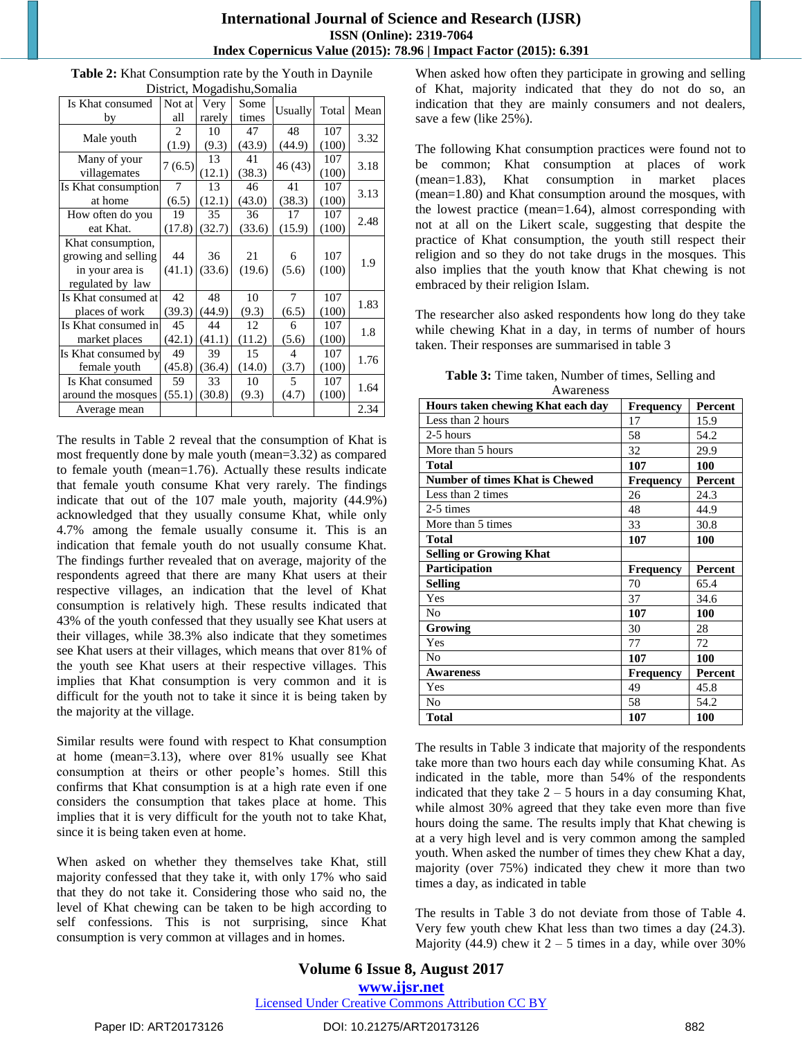# **International Journal of Science and Research (IJSR) ISSN (Online): 2319-7064 Index Copernicus Value (2015): 78.96 | Impact Factor (2015): 6.391**

| Is Khat consumed    | Not at         | Very   | $\sim$ 15 and $\sim$ 5 and 15 and 16 and 16 and 16 and 16 and 16 and 16 and 16 and 16 and 16 and 16 and 16 and 16 and 16 and 16 and 16 and 16 and 16 and 16 and 16 and 16 and 16 and 16 and 16 and 16 and 16 and 16 and 16 and 16<br>Some | Usually        | Total | Mean |
|---------------------|----------------|--------|-------------------------------------------------------------------------------------------------------------------------------------------------------------------------------------------------------------------------------------------|----------------|-------|------|
| by                  | all            | rarely | times                                                                                                                                                                                                                                     |                |       |      |
| Male youth          | $\overline{2}$ | 10     | 47                                                                                                                                                                                                                                        | 48             | 107   | 3.32 |
|                     | (1.9)          | (9.3)  | (43.9)                                                                                                                                                                                                                                    | (44.9)         | (100) |      |
| Many of your        |                | 13     | 41                                                                                                                                                                                                                                        |                | 107   |      |
| villagemates        | 7(6.5)         | (12.1) | (38.3)                                                                                                                                                                                                                                    | 46 (43)        | (100) | 3.18 |
| Is Khat consumption | 7              | 13     | 46                                                                                                                                                                                                                                        | 41             | 107   | 3.13 |
| at home             | (6.5)          | (12.1) | (43.0)                                                                                                                                                                                                                                    | (38.3)         | (100) |      |
| How often do you    | 19             | 35     | 36                                                                                                                                                                                                                                        | 17             | 107   | 2.48 |
| eat Khat.           | (17.8)         | (32.7) | (33.6)                                                                                                                                                                                                                                    | (15.9)         | (100) |      |
| Khat consumption,   |                |        |                                                                                                                                                                                                                                           |                |       |      |
| growing and selling | 44             | 36     | 21                                                                                                                                                                                                                                        | 6              | 107   | 1.9  |
| in your area is     | (41.1)         | (33.6) | (19.6)                                                                                                                                                                                                                                    | (5.6)          | (100) |      |
| regulated by law    |                |        |                                                                                                                                                                                                                                           |                |       |      |
| Is Khat consumed at | 42             | 48     | 10                                                                                                                                                                                                                                        | $\tau$         | 107   |      |
| places of work      | (39.3)         | (44.9) | (9.3)                                                                                                                                                                                                                                     | (6.5)          | (100) | 1.83 |
| Is Khat consumed in | 45             | 44     | 12                                                                                                                                                                                                                                        | 6              | 107   |      |
| market places       | (42.1)         | (41.1) | (11.2)                                                                                                                                                                                                                                    | (5.6)          | (100) | 1.8  |
| Is Khat consumed by | 49             | 39     | 15                                                                                                                                                                                                                                        | $\overline{4}$ | 107   |      |
| female youth        | (45.8)         | (36.4) | (14.0)                                                                                                                                                                                                                                    | (3.7)          | (100) | 1.76 |
| Is Khat consumed    | 59             | 33     | 10                                                                                                                                                                                                                                        | 5              | 107   |      |
| around the mosques  | (55.1)         | (30.8) | (9.3)                                                                                                                                                                                                                                     | (4.7)          | (100) | 1.64 |
| Average mean        |                |        |                                                                                                                                                                                                                                           |                |       | 2.34 |

**Table 2:** Khat Consumption rate by the Youth in Daynile District, Mogadishu,Somalia

The results in Table 2 reveal that the consumption of Khat is most frequently done by male youth (mean=3.32) as compared to female youth (mean=1.76). Actually these results indicate that female youth consume Khat very rarely. The findings indicate that out of the 107 male youth, majority (44.9%) acknowledged that they usually consume Khat, while only 4.7% among the female usually consume it. This is an indication that female youth do not usually consume Khat. The findings further revealed that on average, majority of the respondents agreed that there are many Khat users at their respective villages, an indication that the level of Khat consumption is relatively high. These results indicated that 43% of the youth confessed that they usually see Khat users at their villages, while 38.3% also indicate that they sometimes see Khat users at their villages, which means that over 81% of the youth see Khat users at their respective villages. This implies that Khat consumption is very common and it is difficult for the youth not to take it since it is being taken by the majority at the village.

Similar results were found with respect to Khat consumption at home (mean=3.13), where over 81% usually see Khat consumption at theirs or other people"s homes. Still this confirms that Khat consumption is at a high rate even if one considers the consumption that takes place at home. This implies that it is very difficult for the youth not to take Khat, since it is being taken even at home.

When asked on whether they themselves take Khat, still majority confessed that they take it, with only 17% who said that they do not take it. Considering those who said no, the level of Khat chewing can be taken to be high according to self confessions. This is not surprising, since Khat consumption is very common at villages and in homes.

When asked how often they participate in growing and selling of Khat, majority indicated that they do not do so, an indication that they are mainly consumers and not dealers, save a few (like 25%).

The following Khat consumption practices were found not to be common; Khat consumption at places of work (mean=1.83), Khat consumption in market places (mean=1.80) and Khat consumption around the mosques, with the lowest practice (mean=1.64), almost corresponding with not at all on the Likert scale, suggesting that despite the practice of Khat consumption, the youth still respect their religion and so they do not take drugs in the mosques. This also implies that the youth know that Khat chewing is not embraced by their religion Islam.

The researcher also asked respondents how long do they take while chewing Khat in a day, in terms of number of hours taken. Their responses are summarised in table 3

| <b>Table 3:</b> Time taken, Number of times, Selling and |
|----------------------------------------------------------|
| Awareness                                                |

| Hours taken chewing Khat each day     | <b>Frequency</b> | Percent |
|---------------------------------------|------------------|---------|
| Less than 2 hours                     | 17               | 15.9    |
| 2-5 hours                             | 58               | 54.2    |
| More than 5 hours                     | 32               | 29.9    |
| <b>Total</b>                          | 107              | 100     |
| <b>Number of times Khat is Chewed</b> | Frequency        | Percent |
| Less than 2 times                     | 26               | 24.3    |
| 2-5 times                             | 48               | 44.9    |
| More than 5 times                     | 33               | 30.8    |
| <b>Total</b>                          | 107              | 100     |
| <b>Selling or Growing Khat</b>        |                  |         |
| Participation                         | <b>Frequency</b> | Percent |
| <b>Selling</b>                        | 70               | 65.4    |
| Yes                                   | 37               | 34.6    |
| No                                    | 107              | 100     |
| Growing                               | 30               | 28      |
| Yes                                   | 77               | 72      |
|                                       |                  |         |
| No                                    | 107              | 100     |
| <b>Awareness</b>                      | <b>Frequency</b> | Percent |
| Yes                                   | 49               | 45.8    |
| No                                    | 58               | 54.2    |

The results in Table 3 indicate that majority of the respondents take more than two hours each day while consuming Khat. As indicated in the table, more than 54% of the respondents indicated that they take  $2 - 5$  hours in a day consuming Khat, while almost 30% agreed that they take even more than five hours doing the same. The results imply that Khat chewing is at a very high level and is very common among the sampled youth. When asked the number of times they chew Khat a day, majority (over 75%) indicated they chew it more than two times a day, as indicated in table

The results in Table 3 do not deviate from those of Table 4. Very few youth chew Khat less than two times a day (24.3). Majority (44.9) chew it  $2 - 5$  times in a day, while over 30%

**Volume 6 Issue 8, August 2017 <www.ijsr.net>** [Licensed Under Creative Commons Attribution CC BY](http://creativecommons.org/licenses/by/4.0/)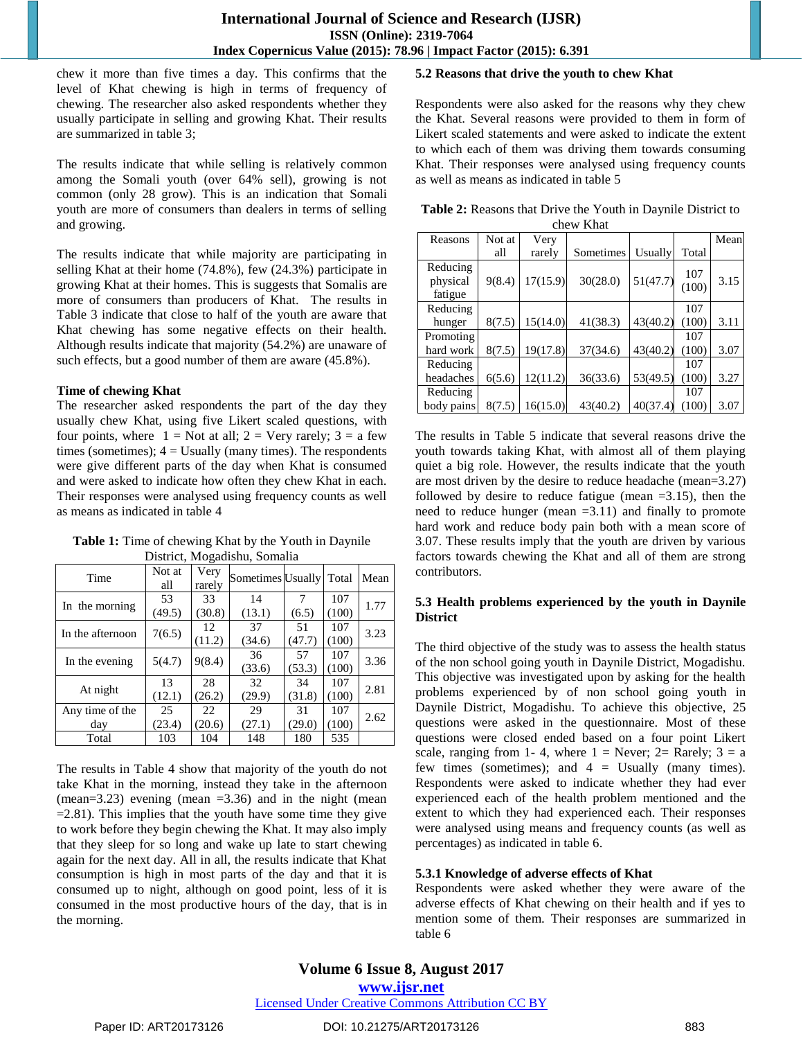chew it more than five times a day. This confirms that the level of Khat chewing is high in terms of frequency of chewing. The researcher also asked respondents whether they usually participate in selling and growing Khat. Their results are summarized in table 3;

The results indicate that while selling is relatively common among the Somali youth (over 64% sell), growing is not common (only 28 grow). This is an indication that Somali youth are more of consumers than dealers in terms of selling and growing.

The results indicate that while majority are participating in selling Khat at their home (74.8%), few (24.3%) participate in growing Khat at their homes. This is suggests that Somalis are more of consumers than producers of Khat. The results in Table 3 indicate that close to half of the youth are aware that Khat chewing has some negative effects on their health. Although results indicate that majority (54.2%) are unaware of such effects, but a good number of them are aware (45.8%).

#### **Time of chewing Khat**

The researcher asked respondents the part of the day they usually chew Khat, using five Likert scaled questions, with four points, where  $1 = Not$  at all;  $2 = Very$  rarely;  $3 = a$  few times (sometimes);  $4 =$  Usually (many times). The respondents were give different parts of the day when Khat is consumed and were asked to indicate how often they chew Khat in each. Their responses were analysed using frequency counts as well as means as indicated in table 4

**Table 1:** Time of chewing Khat by the Youth in Daynile District, Mogadishu, Somalia

| Time             | Not at<br>all | Very<br>rarely | Sometimes Usually |        | Total | Mean |
|------------------|---------------|----------------|-------------------|--------|-------|------|
| In the morning   | 53            | 33             | 14                |        | 107   | 1.77 |
|                  | (49.5)        | (30.8)         | (13.1)            | (6.5)  | (100) |      |
| In the afternoon | 7(6.5)        | 12             | 37                | 51     | 107   | 3.23 |
|                  |               | (11.2)         | (34.6)            | (47.7) | (100) |      |
|                  | 5(4.7)        | 9(8.4)         | 36                | 57     | 107   | 3.36 |
| In the evening   |               |                | (33.6)            | (53.3) | (100) |      |
|                  | 13            | 28             | 32                | 34     | 107   | 2.81 |
| At night         | (12.1)        | (26.2)         | (29.9)            | (31.8) | (100) |      |
| Any time of the  | 25            | 22             | 29                | 31     | 107   | 2.62 |
| day              | (23.4)        | (20.6)         | (27.1)            | (29.0) | (100) |      |
| Total            | 103           | 104            | 148               | 180    | 535   |      |

The results in Table 4 show that majority of the youth do not take Khat in the morning, instead they take in the afternoon (mean=3.23) evening (mean =3.36) and in the night (mean  $=2.81$ ). This implies that the youth have some time they give to work before they begin chewing the Khat. It may also imply that they sleep for so long and wake up late to start chewing again for the next day. All in all, the results indicate that Khat consumption is high in most parts of the day and that it is consumed up to night, although on good point, less of it is consumed in the most productive hours of the day, that is in the morning.

## **5.2 Reasons that drive the youth to chew Khat**

Respondents were also asked for the reasons why they chew the Khat. Several reasons were provided to them in form of Likert scaled statements and were asked to indicate the extent to which each of them was driving them towards consuming Khat. Their responses were analysed using frequency counts as well as means as indicated in table 5

| <b>Table 2:</b> Reasons that Drive the Youth in Daynile District to |
|---------------------------------------------------------------------|
| chew Khat                                                           |

| Reasons    | Not at | Very     |           |          |                    | Mean |
|------------|--------|----------|-----------|----------|--------------------|------|
|            | all    | rarely   | Sometimes | Usually  | Total              |      |
| Reducing   |        |          |           |          | 107                |      |
| physical   | 9(8.4) | 17(15.9) | 30(28.0)  | 51(47.7) | (100)              | 3.15 |
| fatigue    |        |          |           |          |                    |      |
| Reducing   |        |          |           |          | 107                |      |
| hunger     | 8(7.5) | 15(14.0) | 41(38.3)  | 43(40.2) | (100)              | 3.11 |
| Promoting  |        |          |           |          | 107                |      |
| hard work  | 8(7.5) | 19(17.8) | 37(34.6)  | 43(40.2) | (100)              | 3.07 |
| Reducing   |        |          |           |          | 107                |      |
| headaches  | 6(5.6) | 12(11.2) | 36(33.6)  | 53(49.5) | (100)              | 3.27 |
| Reducing   |        |          |           |          | 107                |      |
| body pains | 8(7.5) | 16(15.0) | 43(40.2)  | 40(37.4) | $\left(100\right)$ | 3.07 |

The results in Table 5 indicate that several reasons drive the youth towards taking Khat, with almost all of them playing quiet a big role. However, the results indicate that the youth are most driven by the desire to reduce headache (mean=3.27) followed by desire to reduce fatigue (mean =3.15), then the need to reduce hunger (mean =3.11) and finally to promote hard work and reduce body pain both with a mean score of 3.07. These results imply that the youth are driven by various factors towards chewing the Khat and all of them are strong contributors.

# **5.3 Health problems experienced by the youth in Daynile District**

The third objective of the study was to assess the health status of the non school going youth in Daynile District, Mogadishu. This objective was investigated upon by asking for the health problems experienced by of non school going youth in Daynile District, Mogadishu. To achieve this objective, 25 questions were asked in the questionnaire. Most of these questions were closed ended based on a four point Likert scale, ranging from 1-4, where  $1 =$  Never;  $2=$  Rarely;  $3 = a$ few times (sometimes); and  $4 =$  Usually (many times). Respondents were asked to indicate whether they had ever experienced each of the health problem mentioned and the extent to which they had experienced each. Their responses were analysed using means and frequency counts (as well as percentages) as indicated in table 6.

## **5.3.1 Knowledge of adverse effects of Khat**

Respondents were asked whether they were aware of the adverse effects of Khat chewing on their health and if yes to mention some of them. Their responses are summarized in table 6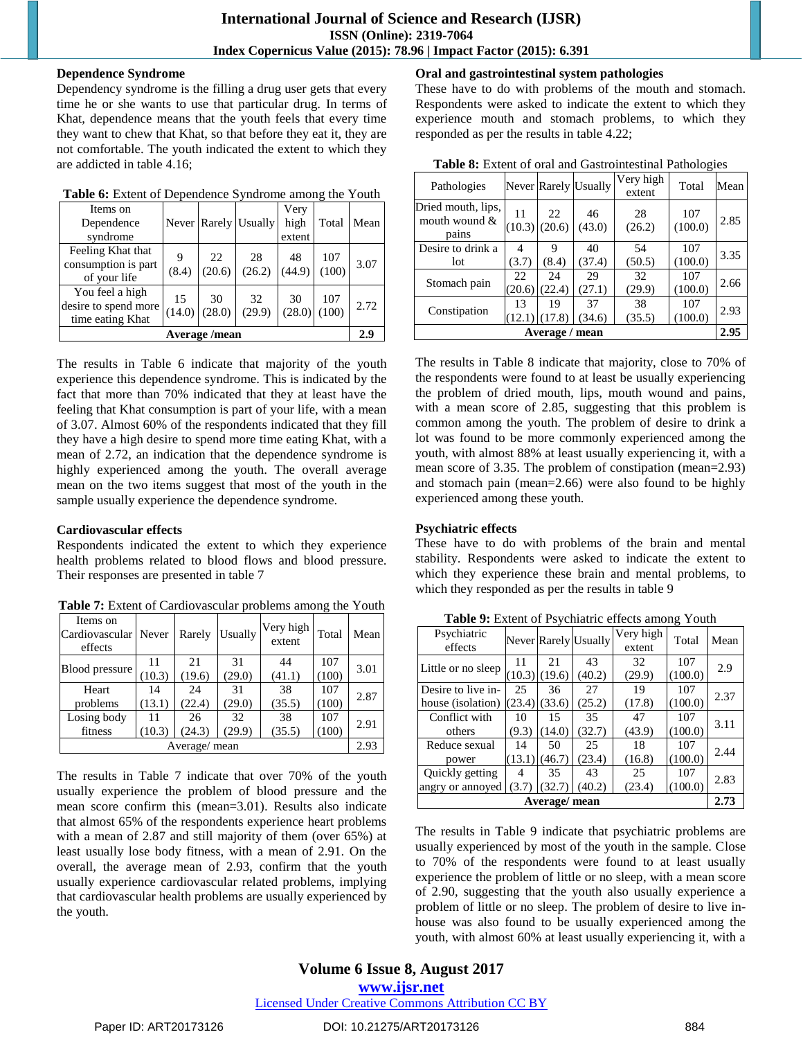#### **Dependence Syndrome**

Dependency syndrome is the filling a drug user gets that every time he or she wants to use that particular drug. In terms of Khat, dependence means that the youth feels that every time they want to chew that Khat, so that before they eat it, they are not comfortable. The youth indicated the extent to which they are addicted in table 4.16;

| Table 6: Extent of Dependence Syndrome among the Youth |
|--------------------------------------------------------|
|--------------------------------------------------------|

| Items on<br>Dependence<br>syndrome                          |              |              | Never Rarely Usually | Very<br>high<br>extent | Total        | Mean  |
|-------------------------------------------------------------|--------------|--------------|----------------------|------------------------|--------------|-------|
| Feeling Khat that<br>consumption is part<br>of your life    | 9<br>(8.4)   | 22<br>(20.6) | 28<br>(26.2)         | 48<br>(44.9)           | 107<br>(100) | 3.07  |
| You feel a high<br>desire to spend more<br>time eating Khat | 15<br>(14.0) | 30<br>(28.0) | 32<br>(29.9)         | 30<br>(28.0)           | 107<br>(100) | 2.72. |
|                                                             |              | Average/mean |                      |                        |              | 2.9   |

The results in Table 6 indicate that majority of the youth experience this dependence syndrome. This is indicated by the fact that more than 70% indicated that they at least have the feeling that Khat consumption is part of your life, with a mean of 3.07. Almost 60% of the respondents indicated that they fill they have a high desire to spend more time eating Khat, with a mean of 2.72, an indication that the dependence syndrome is highly experienced among the youth. The overall average mean on the two items suggest that most of the youth in the sample usually experience the dependence syndrome.

# **Cardiovascular effects**

Respondents indicated the extent to which they experience health problems related to blood flows and blood pressure. Their responses are presented in table 7

| Items on<br>Cardiovascular Never<br>effects |        | Rarely        | Usually | Very high<br>extent | Total | Mean |
|---------------------------------------------|--------|---------------|---------|---------------------|-------|------|
| Blood pressure                              | 11     | 21            | 31      | 44                  | 107   | 3.01 |
|                                             | (10.3) | (19.6)        | (29.0)  | (41.1)              | (100) |      |
| Heart                                       | 14     | 24            | 31      | 38                  | 107   | 2.87 |
| problems                                    | (13.1) | (22.4)        | (29.0)  | (35.5)              | (100) |      |
| Losing body                                 | 11     | 26            | 32      | 38                  | 107   | 2.91 |
| fitness                                     | (10.3) | (24.3)        | (29.9)  | (35.5)              | (100) |      |
|                                             |        | Average/ mean |         |                     |       | 2.93 |
|                                             |        |               |         |                     |       |      |

**Table 7:** Extent of Cardiovascular problems among the Youth

The results in Table 7 indicate that over 70% of the youth usually experience the problem of blood pressure and the mean score confirm this (mean=3.01). Results also indicate that almost 65% of the respondents experience heart problems with a mean of 2.87 and still majority of them (over 65%) at least usually lose body fitness, with a mean of 2.91. On the overall, the average mean of 2.93, confirm that the youth usually experience cardiovascular related problems, implying that cardiovascular health problems are usually experienced by the youth.

# **Oral and gastrointestinal system pathologies**

These have to do with problems of the mouth and stomach. Respondents were asked to indicate the extent to which they experience mouth and stomach problems, to which they responded as per the results in table 4.22;

| <b>Tuble 0.</b> Early of ortal and Oustromesting Funologies |                       |             |                      |                     |                |      |
|-------------------------------------------------------------|-----------------------|-------------|----------------------|---------------------|----------------|------|
| Pathologies                                                 |                       |             | Never Rarely Usually | Very high<br>extent | Total          | Mean |
| Dried mouth, lips,<br>mouth wound $\&$<br>pains             | 11<br>$(10.3)$ (20.6) | 22          | 46<br>(43.0)         | 28<br>(26.2)        | 107<br>(100.0) | 2.85 |
| Desire to drink a<br>lot                                    | 4<br>(3.7)            | 9<br>(8.4)  | 40<br>(37.4)         | 54<br>(50.5)        | 107<br>(100.0) | 3.35 |
| Stomach pain                                                | 22<br>(20.6)          | 24<br>22.4) | 29<br>(27.1)         | 32<br>(29.9)        | 107<br>(100.0) | 2.66 |
| Constipation                                                | 13<br>(12.1)          | 19<br>.7.8) | 37<br>(34.6)         | 38<br>(35.5)        | 107<br>(100.0) | 2.93 |
|                                                             |                       | Average /   | mean                 |                     |                | 2.95 |

**Table 8:** Extent of oral and Gastrointestinal Pathologies

The results in Table 8 indicate that majority, close to 70% of the respondents were found to at least be usually experiencing the problem of dried mouth, lips, mouth wound and pains, with a mean score of 2.85, suggesting that this problem is common among the youth. The problem of desire to drink a lot was found to be more commonly experienced among the youth, with almost 88% at least usually experiencing it, with a mean score of 3.35. The problem of constipation (mean=2.93) and stomach pain (mean=2.66) were also found to be highly experienced among these youth.

# **Psychiatric effects**

These have to do with problems of the brain and mental stability. Respondents were asked to indicate the extent to which they experience these brain and mental problems, to which they responded as per the results in table 9

| Psychiatric<br>effects |        |        | Never Rarely Usually | Very high<br>extent | Total   | Mean |  |
|------------------------|--------|--------|----------------------|---------------------|---------|------|--|
|                        | 11     | 21     | 43                   | 32                  | 107     | 2.9  |  |
| Little or no sleep     | (10.3) | (19.6) | (40.2)               | (29.9)              | (100.0) |      |  |
| Desire to live in-     | 25     | 36     | 27                   | 19                  | 107     | 2.37 |  |
| house (isolation)      | (23.4) | (33.6) | (25.2)               | (17.8)              | (100.0) |      |  |
| Conflict with          | 10     | 15     | 35                   | 47                  | 107     | 3.11 |  |
| others                 | (9.3)  | 14.0   | (32.7)               | (43.9)              | (100.0) |      |  |
| Reduce sexual          | 14     | 50     | 25                   | 18                  | 107     | 2.44 |  |
| power                  | (13.1) | (46.7) | (23.4)               | (16.8)              | (100.0) |      |  |
| Quickly getting        | 4      | 35     | 43                   | 25                  | 107     | 2.83 |  |
| angry or annoyed       | (3.7)  | (32.7) | (40.2)               | (23.4)              | (100.0) |      |  |
| Average/mean           |        |        |                      |                     |         |      |  |

**Table 9:** Extent of Psychiatric effects among Youth

The results in Table 9 indicate that psychiatric problems are usually experienced by most of the youth in the sample. Close to 70% of the respondents were found to at least usually experience the problem of little or no sleep, with a mean score of 2.90, suggesting that the youth also usually experience a problem of little or no sleep. The problem of desire to live inhouse was also found to be usually experienced among the youth, with almost 60% at least usually experiencing it, with a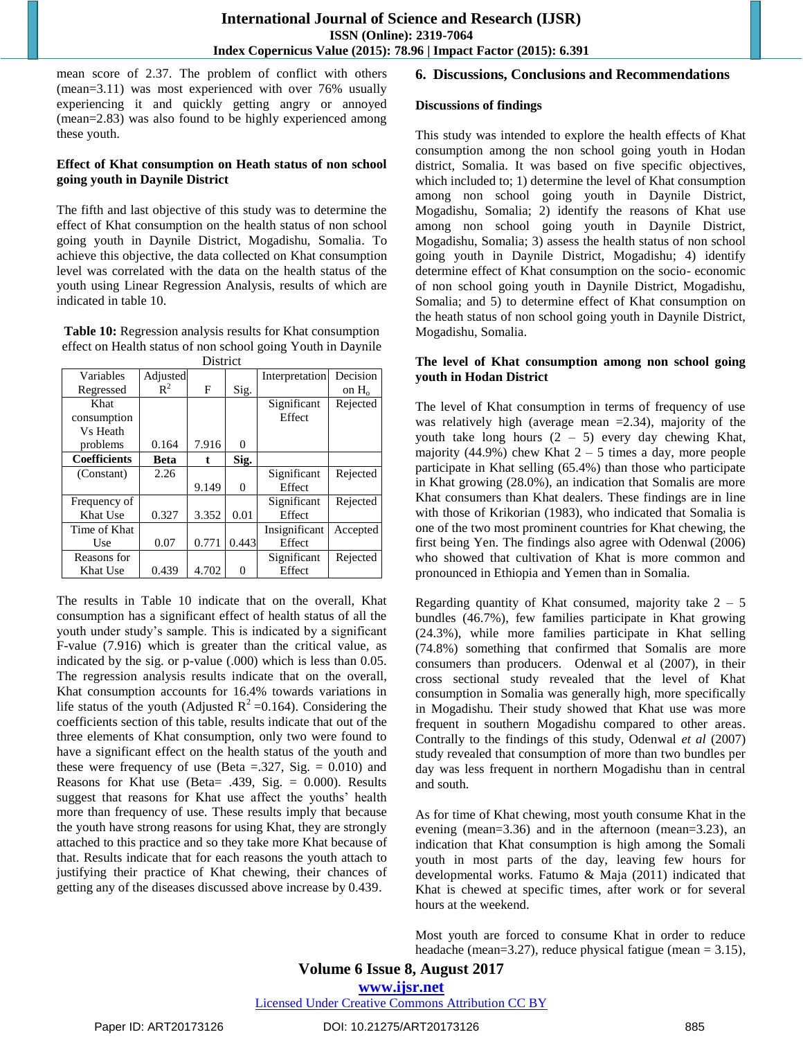mean score of 2.37. The problem of conflict with others (mean=3.11) was most experienced with over 76% usually experiencing it and quickly getting angry or annoyed (mean=2.83) was also found to be highly experienced among these youth.

### **Effect of Khat consumption on Heath status of non school going youth in Daynile District**

The fifth and last objective of this study was to determine the effect of Khat consumption on the health status of non school going youth in Daynile District, Mogadishu, Somalia. To achieve this objective, the data collected on Khat consumption level was correlated with the data on the health status of the youth using Linear Regression Analysis, results of which are indicated in table 10.

**Table 10:** Regression analysis results for Khat consumption effect on Health status of non school going Youth in Daynile **District** 

| Variables           | Adjusted       |       |          | Interpretation | Decision |
|---------------------|----------------|-------|----------|----------------|----------|
| Regressed           | $\mathbb{R}^2$ | F     | Sig.     |                | on $H_0$ |
| Khat                |                |       |          | Significant    | Rejected |
| consumption         |                |       |          | Effect         |          |
| Vs Heath            |                |       |          |                |          |
| problems            | 0.164          | 7.916 | 0        |                |          |
| <b>Coefficients</b> | Beta           | t.    | Sig.     |                |          |
| (Constant)          | 2.26           |       |          | Significant    | Rejected |
|                     |                | 9.149 | $\Omega$ | Effect         |          |
| Frequency of        |                |       |          | Significant    | Rejected |
| Khat Use            | 0.327          | 3.352 | 0.01     | Effect         |          |
| Time of Khat        |                |       |          | Insignificant  | Accepted |
| Use                 | 0.07           | 0.771 | 0.443    | Effect         |          |
| Reasons for         |                |       |          | Significant    | Rejected |
| Khat Use            | 0.439          | 4.702 | 0        | Effect         |          |

The results in Table 10 indicate that on the overall, Khat consumption has a significant effect of health status of all the youth under study"s sample. This is indicated by a significant F-value (7.916) which is greater than the critical value, as indicated by the sig. or p-value (.000) which is less than 0.05. The regression analysis results indicate that on the overall, Khat consumption accounts for 16.4% towards variations in life status of the youth (Adjusted  $R^2$  =0.164). Considering the coefficients section of this table, results indicate that out of the three elements of Khat consumption, only two were found to have a significant effect on the health status of the youth and these were frequency of use (Beta =  $.327$ , Sig. = 0.010) and Reasons for Khat use (Beta=  $.439$ , Sig. = 0.000). Results suggest that reasons for Khat use affect the youths' health more than frequency of use. These results imply that because the youth have strong reasons for using Khat, they are strongly attached to this practice and so they take more Khat because of that. Results indicate that for each reasons the youth attach to justifying their practice of Khat chewing, their chances of getting any of the diseases discussed above increase by 0.439.

## **6. Discussions, Conclusions and Recommendations**

#### **Discussions of findings**

This study was intended to explore the health effects of Khat consumption among the non school going youth in Hodan district, Somalia. It was based on five specific objectives, which included to; 1) determine the level of Khat consumption among non school going youth in Daynile District, Mogadishu, Somalia; 2) identify the reasons of Khat use among non school going youth in Daynile District, Mogadishu, Somalia; 3) assess the health status of non school going youth in Daynile District, Mogadishu; 4) identify determine effect of Khat consumption on the socio- economic of non school going youth in Daynile District, Mogadishu, Somalia; and 5) to determine effect of Khat consumption on the heath status of non school going youth in Daynile District, Mogadishu, Somalia.

## **The level of Khat consumption among non school going youth in Hodan District**

The level of Khat consumption in terms of frequency of use was relatively high (average mean  $=2.34$ ), majority of the youth take long hours  $(2 - 5)$  every day chewing Khat, majority (44.9%) chew Khat  $2 - 5$  times a day, more people participate in Khat selling (65.4%) than those who participate in Khat growing (28.0%), an indication that Somalis are more Khat consumers than Khat dealers. These findings are in line with those of Krikorian (1983), who indicated that Somalia is one of the two most prominent countries for Khat chewing, the first being Yen. The findings also agree with Odenwal (2006) who showed that cultivation of Khat is more common and pronounced in Ethiopia and Yemen than in Somalia.

Regarding quantity of Khat consumed, majority take  $2 - 5$ bundles (46.7%), few families participate in Khat growing (24.3%), while more families participate in Khat selling (74.8%) something that confirmed that Somalis are more consumers than producers. Odenwal et al (2007), in their cross sectional study revealed that the level of Khat consumption in Somalia was generally high, more specifically in Mogadishu. Their study showed that Khat use was more frequent in southern Mogadishu compared to other areas. Contrally to the findings of this study, Odenwal *et al* (2007) study revealed that consumption of more than two bundles per day was less frequent in northern Mogadishu than in central and south.

As for time of Khat chewing, most youth consume Khat in the evening (mean=3.36) and in the afternoon (mean=3.23), an indication that Khat consumption is high among the Somali youth in most parts of the day, leaving few hours for developmental works. Fatumo & Maja (2011) indicated that Khat is chewed at specific times, after work or for several hours at the weekend.

Most youth are forced to consume Khat in order to reduce headache (mean=3.27), reduce physical fatigue (mean = 3.15),

**Volume 6 Issue 8, August 2017 <www.ijsr.net>** [Licensed Under Creative Commons Attribution CC BY](http://creativecommons.org/licenses/by/4.0/)

Paper ID: ART20173126 DOI: 10.21275/ART20173126 885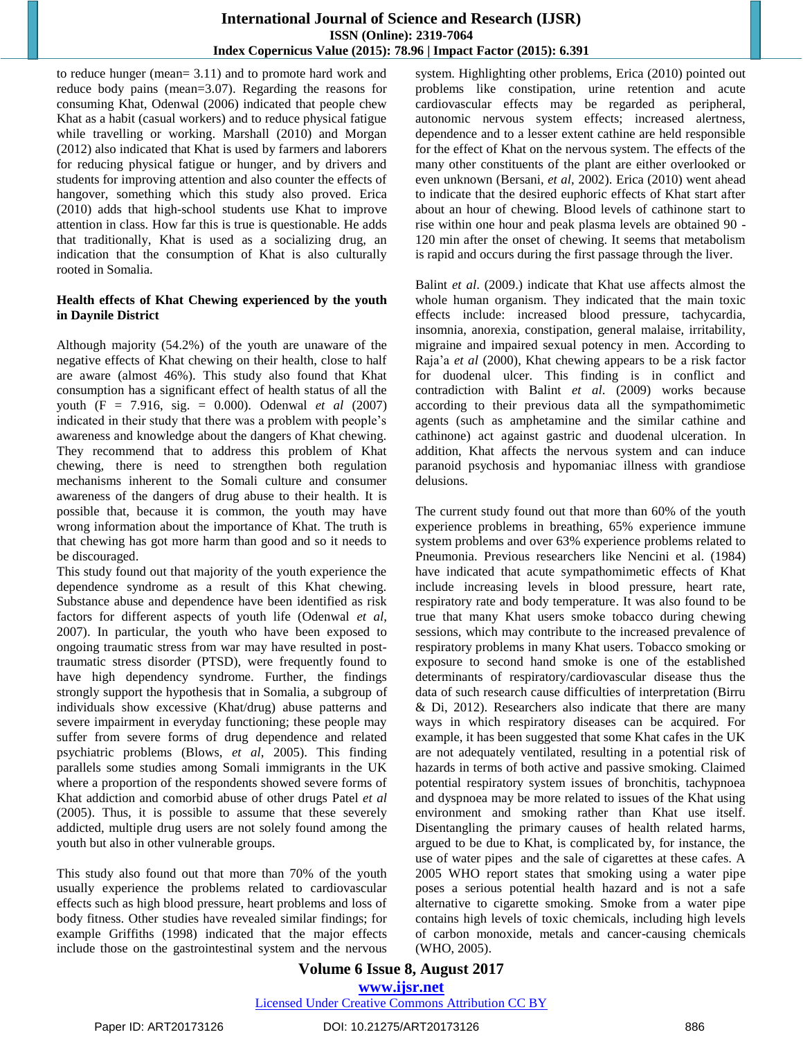to reduce hunger (mean= 3.11) and to promote hard work and reduce body pains (mean=3.07). Regarding the reasons for consuming Khat, Odenwal (2006) indicated that people chew Khat as a habit (casual workers) and to reduce physical fatigue while travelling or working. Marshall (2010) and Morgan (2012) also indicated that Khat is used by farmers and laborers for reducing physical fatigue or hunger, and by drivers and students for improving attention and also counter the effects of hangover, something which this study also proved. Erica (2010) adds that high-school students use Khat to improve attention in class. How far this is true is questionable. He adds that traditionally, Khat is used as a socializing drug, an indication that the consumption of Khat is also culturally rooted in Somalia.

## **Health effects of Khat Chewing experienced by the youth in Daynile District**

Although majority (54.2%) of the youth are unaware of the negative effects of Khat chewing on their health, close to half are aware (almost 46%). This study also found that Khat consumption has a significant effect of health status of all the youth (F = 7.916, sig. = 0.000). Odenwal *et al* (2007) indicated in their study that there was a problem with people"s awareness and knowledge about the dangers of Khat chewing. They recommend that to address this problem of Khat chewing, there is need to strengthen both regulation mechanisms inherent to the Somali culture and consumer awareness of the dangers of drug abuse to their health. It is possible that, because it is common, the youth may have wrong information about the importance of Khat. The truth is that chewing has got more harm than good and so it needs to be discouraged.

This study found out that majority of the youth experience the dependence syndrome as a result of this Khat chewing. Substance abuse and dependence have been identified as risk factors for different aspects of youth life (Odenwal *et al*, 2007). In particular, the youth who have been exposed to ongoing traumatic stress from war may have resulted in posttraumatic stress disorder (PTSD), were frequently found to have high dependency syndrome. Further, the findings strongly support the hypothesis that in Somalia, a subgroup of individuals show excessive (Khat/drug) abuse patterns and severe impairment in everyday functioning; these people may suffer from severe forms of drug dependence and related psychiatric problems (Blows, *et al*, 2005). This finding parallels some studies among Somali immigrants in the UK where a proportion of the respondents showed severe forms of Khat addiction and comorbid abuse of other drugs Patel *et al* (2005). Thus, it is possible to assume that these severely addicted, multiple drug users are not solely found among the youth but also in other vulnerable groups.

This study also found out that more than 70% of the youth usually experience the problems related to cardiovascular effects such as high blood pressure, heart problems and loss of body fitness. Other studies have revealed similar findings; for example Griffiths (1998) indicated that the major effects include those on the gastrointestinal system and the nervous

system. Highlighting other problems, Erica (2010) pointed out problems like constipation, urine retention and acute cardiovascular effects may be regarded as peripheral, autonomic nervous system effects; increased alertness, dependence and to a lesser extent cathine are held responsible for the effect of Khat on the nervous system. The effects of the many other constituents of the plant are either overlooked or even unknown (Bersani, *et al*, 2002). Erica (2010) went ahead to indicate that the desired euphoric effects of Khat start after about an hour of chewing. Blood levels of cathinone start to rise within one hour and peak plasma levels are obtained 90 - 120 min after the onset of chewing. It seems that metabolism is rapid and occurs during the first passage through the liver.

Balint *et al*. (2009.) indicate that Khat use affects almost the whole human organism. They indicated that the main toxic effects include: increased blood pressure, tachycardia, insomnia, anorexia, constipation, general malaise, irritability, migraine and impaired sexual potency in men. According to Raja"a *et al* (2000), Khat chewing appears to be a risk factor for duodenal ulcer. This finding is in conflict and contradiction with Balint *et al*. (2009) works because according to their previous data all the sympathomimetic agents (such as amphetamine and the similar cathine and cathinone) act against gastric and duodenal ulceration. In addition, Khat affects the nervous system and can induce paranoid psychosis and hypomaniac illness with grandiose delusions.

The current study found out that more than 60% of the youth experience problems in breathing, 65% experience immune system problems and over 63% experience problems related to Pneumonia. Previous researchers like Nencini et al. (1984) have indicated that acute sympathomimetic effects of Khat include increasing levels in blood pressure, heart rate, respiratory rate and body temperature. It was also found to be true that many Khat users smoke tobacco during chewing sessions, which may contribute to the increased prevalence of respiratory problems in many Khat users. Tobacco smoking or exposure to second hand smoke is one of the established determinants of respiratory/cardiovascular disease thus the data of such research cause difficulties of interpretation (Birru & Di, 2012). Researchers also indicate that there are many ways in which respiratory diseases can be acquired. For example, it has been suggested that some Khat cafes in the UK are not adequately ventilated, resulting in a potential risk of hazards in terms of both active and passive smoking. Claimed potential respiratory system issues of bronchitis, tachypnoea and dyspnoea may be more related to issues of the Khat using environment and smoking rather than Khat use itself. Disentangling the primary causes of health related harms, argued to be due to Khat, is complicated by, for instance, the use of water pipes and the sale of cigarettes at these cafes. A 2005 WHO report states that smoking using a water pipe poses a serious potential health hazard and is not a safe alternative to cigarette smoking. Smoke from a water pipe contains high levels of toxic chemicals, including high levels of carbon monoxide, metals and cancer-causing chemicals (WHO, 2005).

# **Volume 6 Issue 8, August 2017 <www.ijsr.net>**

#### [Licensed Under Creative Commons Attribution CC BY](http://creativecommons.org/licenses/by/4.0/)

Paper ID: ART20173126 DOI: 10.21275/ART20173126 886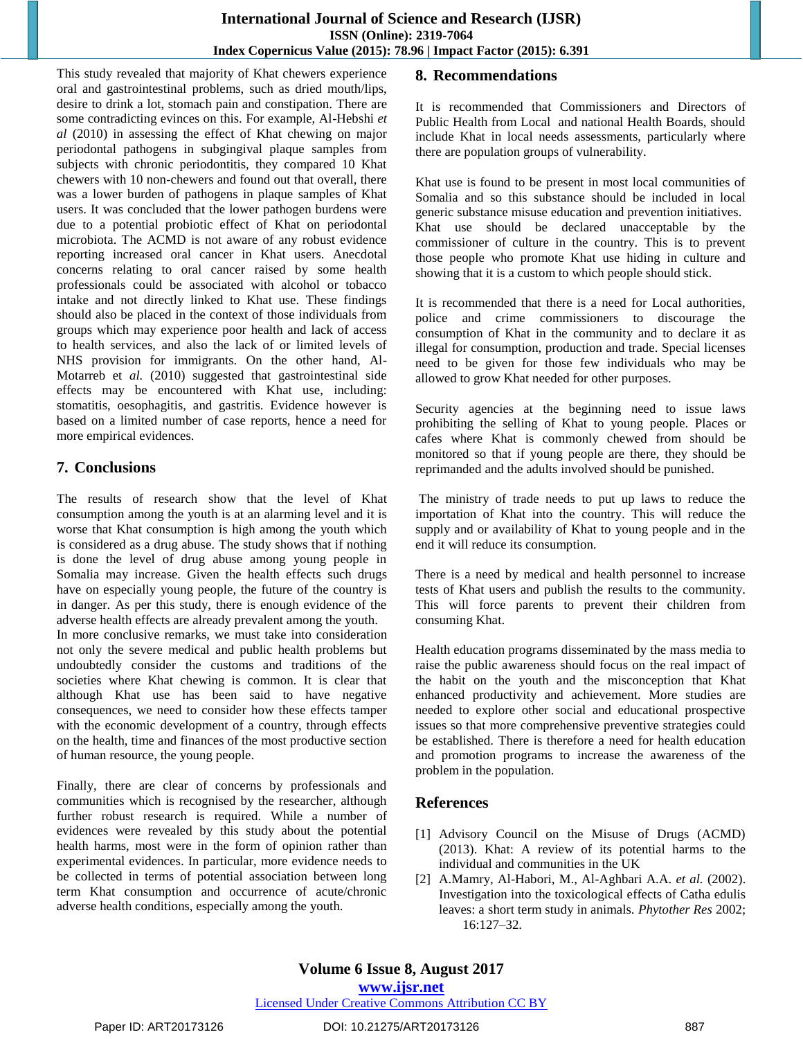# **International Journal of Science and Research (IJSR) ISSN (Online): 2319-7064 Index Copernicus Value (2015): 78.96 | Impact Factor (2015): 6.391**

This study revealed that majority of Khat chewers experience oral and gastrointestinal problems, such as dried mouth/lips, desire to drink a lot, stomach pain and constipation. There are some contradicting evinces on this. For example, Al-Hebshi *et al* (2010) in assessing the effect of Khat chewing on major periodontal pathogens in subgingival plaque samples from subjects with chronic periodontitis, they compared 10 Khat chewers with 10 non-chewers and found out that overall, there was a lower burden of pathogens in plaque samples of Khat users. It was concluded that the lower pathogen burdens were due to a potential probiotic effect of Khat on periodontal microbiota. The ACMD is not aware of any robust evidence reporting increased oral cancer in Khat users. Anecdotal concerns relating to oral cancer raised by some health professionals could be associated with alcohol or tobacco intake and not directly linked to Khat use. These findings should also be placed in the context of those individuals from groups which may experience poor health and lack of access to health services, and also the lack of or limited levels of NHS provision for immigrants. On the other hand, Al-Motarreb et *al.* (2010) suggested that gastrointestinal side effects may be encountered with Khat use, including: stomatitis, oesophagitis, and gastritis. Evidence however is based on a limited number of case reports, hence a need for more empirical evidences.

# **7. Conclusions**

The results of research show that the level of Khat consumption among the youth is at an alarming level and it is worse that Khat consumption is high among the youth which is considered as a drug abuse. The study shows that if nothing is done the level of drug abuse among young people in Somalia may increase. Given the health effects such drugs have on especially young people, the future of the country is in danger. As per this study, there is enough evidence of the adverse health effects are already prevalent among the youth. In more conclusive remarks, we must take into consideration not only the severe medical and public health problems but

undoubtedly consider the customs and traditions of the societies where Khat chewing is common. It is clear that although Khat use has been said to have negative consequences, we need to consider how these effects tamper with the economic development of a country, through effects on the health, time and finances of the most productive section of human resource, the young people.

Finally, there are clear of concerns by professionals and communities which is recognised by the researcher, although further robust research is required. While a number of evidences were revealed by this study about the potential health harms, most were in the form of opinion rather than experimental evidences. In particular, more evidence needs to be collected in terms of potential association between long term Khat consumption and occurrence of acute/chronic adverse health conditions, especially among the youth.

# **8. Recommendations**

It is recommended that Commissioners and Directors of Public Health from Local and national Health Boards, should include Khat in local needs assessments, particularly where there are population groups of vulnerability.

Khat use is found to be present in most local communities of Somalia and so this substance should be included in local generic substance misuse education and prevention initiatives. Khat use should be declared unacceptable by the commissioner of culture in the country. This is to prevent those people who promote Khat use hiding in culture and showing that it is a custom to which people should stick.

It is recommended that there is a need for Local authorities, police and crime commissioners to discourage the consumption of Khat in the community and to declare it as illegal for consumption, production and trade. Special licenses need to be given for those few individuals who may be allowed to grow Khat needed for other purposes.

Security agencies at the beginning need to issue laws prohibiting the selling of Khat to young people. Places or cafes where Khat is commonly chewed from should be monitored so that if young people are there, they should be reprimanded and the adults involved should be punished.

The ministry of trade needs to put up laws to reduce the importation of Khat into the country. This will reduce the supply and or availability of Khat to young people and in the end it will reduce its consumption.

There is a need by medical and health personnel to increase tests of Khat users and publish the results to the community. This will force parents to prevent their children from consuming Khat.

Health education programs disseminated by the mass media to raise the public awareness should focus on the real impact of the habit on the youth and the misconception that Khat enhanced productivity and achievement. More studies are needed to explore other social and educational prospective issues so that more comprehensive preventive strategies could be established. There is therefore a need for health education and promotion programs to increase the awareness of the problem in the population.

# **References**

- [1] Advisory Council on the Misuse of Drugs (ACMD) (2013). Khat: A review of its potential harms to the individual and communities in the UK
- [2] A.Mamry, Al-Habori, M., Al-Aghbari A.A. *et al.* (2002). Investigation into the toxicological effects of Catha edulis leaves: a short term study in animals. *Phytother Res* 2002; 16:127–32.